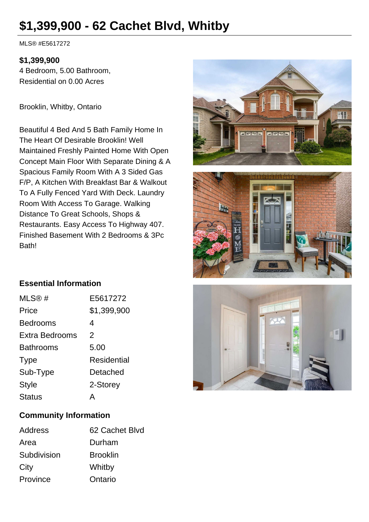# **\$1,399,900 - 62 Cachet Blvd, Whitby**

MLS® #E5617272

#### **\$1,399,900**

4 Bedroom, 5.00 Bathroom, Residential on 0.00 Acres

Brooklin, Whitby, Ontario

Beautiful 4 Bed And 5 Bath Family Home In The Heart Of Desirable Brooklin! Well Maintained Freshly Painted Home With Open Concept Main Floor With Separate Dining & A Spacious Family Room With A 3 Sided Gas F/P, A Kitchen With Breakfast Bar & Walkout To A Fully Fenced Yard With Deck. Laundry Room With Access To Garage. Walking Distance To Great Schools, Shops & Restaurants. Easy Access To Highway 407. Finished Basement With 2 Bedrooms & 3Pc Bath!





### **Essential Information**

| MLS@#            | E5617272           |
|------------------|--------------------|
| Price            | \$1,399,900        |
| <b>Bedrooms</b>  | 4                  |
| Extra Bedrooms   | $\mathcal{P}$      |
| <b>Bathrooms</b> | 5.00               |
| <b>Type</b>      | <b>Residential</b> |
| Sub-Type         | Detached           |
| <b>Style</b>     | 2-Storey           |
| <b>Status</b>    | А                  |
|                  |                    |



#### **Community Information**

| Address     | 62 Cachet Blvd  |
|-------------|-----------------|
| Area        | Durham          |
| Subdivision | <b>Brooklin</b> |
| City        | Whitby          |
| Province    | Ontario         |